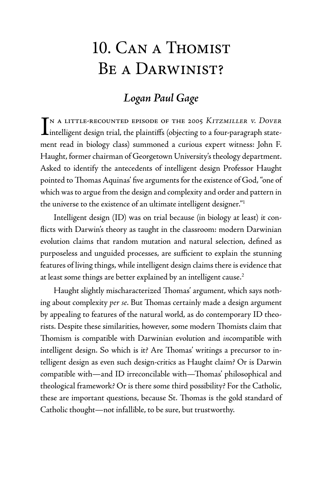# 10. Can a Thomist Be a Darwinist?

# **Logan Paul Gage**

IN A LITTLE-RECOUNTED EPISODE OF THE 2005 KITZMILLER V. DOVER<br>intelligent design trial, the plaintiffs (objecting to a four-paragraph state-IN A LITTLE-RECOUNTED EPISODE OF THE 2005 KITZMILLER V. DOVER ment read in biology class) summoned a curious expert witness: John F. Haught, former chairman of Georgetown University's theology department. Asked to identify the antecedents of intelligent design Professor Haught pointed to Thomas Aquinas' five arguments for the existence of God, "one of which was to argue from the design and complexity and order and pattern in the universe to the existence of an ultimate intelligent designer."1

Intelligent design (ID) was on trial because (in biology at least) it conflicts with Darwin's theory as taught in the classroom: modern Darwinian evolution claims that random mutation and natural selection, defined as purposeless and unguided processes, are sufficient to explain the stunning features of living things, while intelligent design claims there is evidence that at least some things are better explained by an intelligent cause.<sup>2</sup>

Haught slightly mischaracterized Thomas' argument, which says nothing about complexity per se. But Thomas certainly made a design argument by appealing to features of the natural world, as do contemporary ID theorists. Despite these similarities, however, some modern Thomists claim that Thomism is compatible with Darwinian evolution and *incompatible* with intelligent design. So which is it? Are Thomas' writings a precursor to intelligent design as even such design-critics as Haught claim? Or is Darwin compatible with—and ID irreconcilable with—Thomas' philosophical and theological framework? Or is there some third possibility? For the Catholic, these are important questions, because St. Thomas is the gold standard of Catholic thought—not infallible, to be sure, but trustworthy.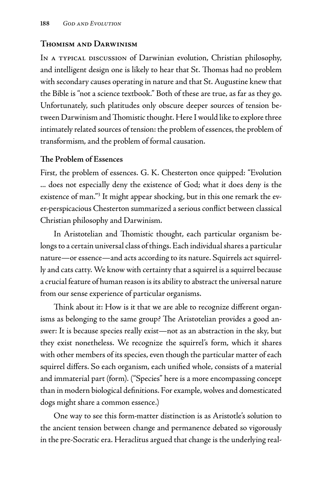### **THOMISM AND DARWINISM**

IN A TYPICAL DISCUSSION of Darwinian evolution, Christian philosophy, and intelligent design one is likely to hear that St. Thomas had no problem with secondary causes operating in nature and that St. Augustine knew that the Bible is "not a science textbook." Both of these are true, as far as they go. Unfortunately, such platitudes only obscure deeper sources of tension between Darwinism and Thomistic thought. Here I would like to explore three intimately related sources of tension: the problem of essences, the problem of transformism, and the problem of formal causation.

#### **The Problem of Essences**

First, the problem of essences. G. K. Chesterton once quipped: "Evolution ... does not especially deny the existence of God; what it does deny is the existence of man."3 It might appear shocking, but in this one remark the ever-perspicacious Chesterton summarized a serious conflict between classical Christian philosophy and Darwinism.

In Aristotelian and Thomistic thought, each particular organism belongs to a certain universal class of things. Each individual shares a particular nature—or essence—and acts according to its nature. Squirrels act squirrelly and cats catty. We know with certainty that a squirrel is a squirrel because a crucial feature of human reason is its ability to abstract the universal nature from our sense experience of particular organisms.

Think about it: How is it that we are able to recognize different organisms as belonging to the same group? The Aristotelian provides a good answer: It is because species really exist—not as an abstraction in the sky, but they exist nonetheless. We recognize the squirrel's form, which it shares with other members of its species, even though the particular matter of each squirrel differs. So each organism, each unified whole, consists of a material and immaterial part (form). ("Species" here is a more encompassing concept than in modern biological definitions. For example, wolves and domesticated dogs might share a common essence.)

One way to see this form-matter distinction is as Aristotle's solution to the ancient tension between change and permanence debated so vigorously in the pre-Socratic era. Heraclitus argued that change is the underlying real-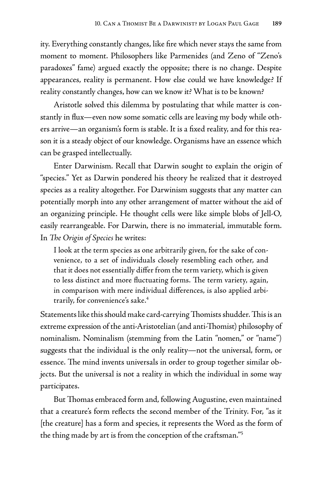ity. Everything constantly changes, like fire which never stays the same from moment to moment. Philosophers like Parmenides (and Zeno of "Zeno's paradoxes" fame) argued exactly the opposite; there is no change. Despite appearances, reality is permanent. How else could we have knowledge? If reality constantly changes, how can we know it? What is to be known?

Aristotle solved this dilemma by postulating that while matter is constantly in flux—even now some somatic cells are leaving my body while others arrive—an organism's form is stable. It is a fixed reality, and for this reason it is a steady object of our knowledge. Organisms have an essence which can be grasped intellectually.

Enter Darwinism. Recall that Darwin sought to explain the origin of "species." Yet as Darwin pondered his theory he realized that it destroyed species as a reality altogether. For Darwinism suggests that any matter can potentially morph into any other arrangement of matter without the aid of an organizing principle. He thought cells were like simple blobs of Jell-O, easily rearrangeable. For Darwin, there is no immaterial, immutable form. In The Origin of Species he writes:

I look at the term species as one arbitrarily given, for the sake of convenience, to a set of individuals closely resembling each other, and that it does not essentially differ from the term variety, which is given to less distinct and more fluctuating forms. The term variety, again, in comparison with mere individual differences, is also applied arbitrarily, for convenience's sake.4

Statements like this should make card-carrying Thomists shudder. This is an extreme expression of the anti-Aristotelian (and anti-Thomist) philosophy of nominalism. Nominalism (stemming from the Latin "nomen," or "name") suggests that the individual is the only reality—not the universal, form, or essence. The mind invents universals in order to group together similar objects. But the universal is not a reality in which the individual in some way participates.

But Thomas embraced form and, following Augustine, even maintained that a creature's form reflects the second member of the Trinity. For, "as it [the creature] has a form and species, it represents the Word as the form of the thing made by art is from the conception of the craftsman."5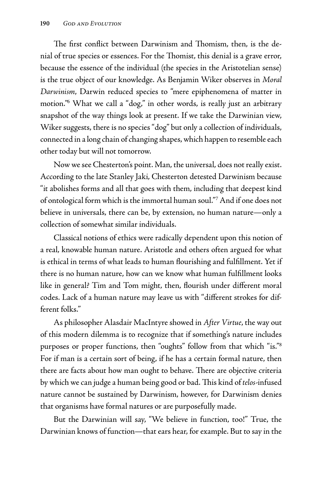The first conflict between Darwinism and Thomism, then, is the denial of true species or essences. For the Thomist, this denial is a grave error, because the essence of the individual (the species in the Aristotelian sense) is the true object of our knowledge. As Benjamin Wiker observes in Moral Darwinism, Darwin reduced species to "mere epiphenomena of matter in motion."6 What we call a "dog," in other words, is really just an arbitrary snapshot of the way things look at present. If we take the Darwinian view, Wiker suggests, there is no species "dog" but only a collection of individuals, connected in a long chain of changing shapes, which happen to resemble each other today but will not tomorrow.

Now we see Chesterton's point. Man, the universal, does not really exist. According to the late Stanley Jaki, Chesterton detested Darwinism because "it abolishes forms and all that goes with them, including that deepest kind of ontological form which is the immortal human soul."7 And if one does not believe in universals, there can be, by extension, no human nature—only a collection of somewhat similar individuals.

Classical notions of ethics were radically dependent upon this notion of a real, knowable human nature. Aristotle and others often argued for what is ethical in terms of what leads to human flourishing and fulfillment. Yet if there is no human nature, how can we know what human fulfillment looks like in general? Tim and Tom might, then, flourish under different moral codes. Lack of a human nature may leave us with "different strokes for different folks."

As philosopher Alasdair MacIntyre showed in After Virtue, the way out of this modern dilemma is to recognize that if something's nature includes purposes or proper functions, then "oughts" follow from that which "is."8 For if man is a certain sort of being, if he has a certain formal nature, then there are facts about how man ought to behave. There are objective criteria by which we can judge a human being good or bad. This kind of telos-infused nature cannot be sustained by Darwinism, however, for Darwinism denies that organisms have formal natures or are purposefully made.

But the Darwinian will say, "We believe in function, too!" True, the Darwinian knows of function—that ears hear, for example. But to say in the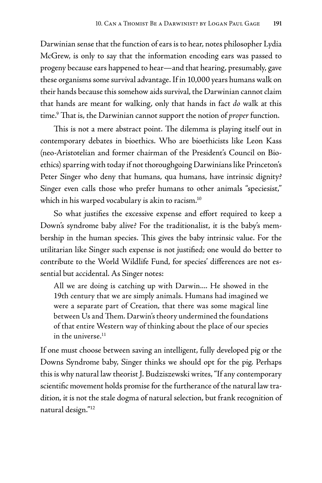Darwinian sense that the function of ears is to hear, notes philosopher Lydia McGrew, is only to say that the information encoding ears was passed to progeny because ears happened to hear—and that hearing, presumably, gave these organisms some survival advantage. If in 10,000 years humans walk on their hands because this somehow aids survival, the Darwinian cannot claim that hands are meant for walking, only that hands in fact do walk at this time.<sup>9</sup> That is, the Darwinian cannot support the notion of proper function.

This is not a mere abstract point. The dilemma is playing itself out in contemporary debates in bioethics. Who are bioethicists like Leon Kass (neo-Aristotelian and former chairman of the President's Council on Bioethics) sparring with today if not thoroughgoing Darwinians like Princeton's Peter Singer who deny that humans, qua humans, have intrinsic dignity? Singer even calls those who prefer humans to other animals "speciesist," which in his warped vocabulary is akin to racism.<sup>10</sup>

So what justifies the excessive expense and effort required to keep a Down's syndrome baby alive? For the traditionalist, it is the baby's membership in the human species. This gives the baby intrinsic value. For the utilitarian like Singer such expense is not justified; one would do better to contribute to the World Wildlife Fund, for species' differences are not essential but accidental. As Singer notes:

All we are doing is catching up with Darwin.... He showed in the 19th century that we are simply animals. Humans had imagined we were a separate part of Creation, that there was some magical line between Us and Them. Darwin's theory undermined the foundations of that entire Western way of thinking about the place of our species in the universe.<sup>11</sup>

If one must choose between saving an intelligent, fully developed pig or the Downs Syndrome baby, Singer thinks we should opt for the pig. Perhaps this is why natural law theorist J. Budziszewski writes, "If any contemporary scientific movement holds promise for the furtherance of the natural law tradition, it is not the stale dogma of natural selection, but frank recognition of natural design."12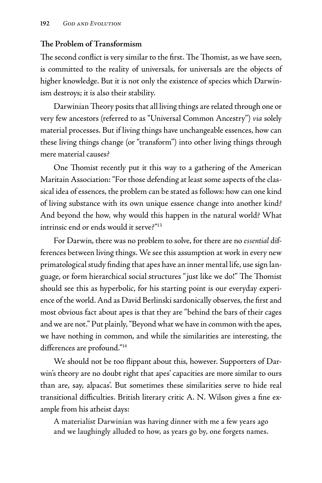# **The Problem of Transformism**

The second conflict is very similar to the first. The Thomist, as we have seen, is committed to the reality of universals, for universals are the objects of higher knowledge. But it is not only the existence of species which Darwinism destroys; it is also their stability.

Darwinian Theory posits that all living things are related through one or very few ancestors (referred to as "Universal Common Ancestry") via solely material processes. But if living things have unchangeable essences, how can these living things change (or "transform") into other living things through mere material causes?

One Thomist recently put it this way to a gathering of the American Maritain Association: "For those defending at least some aspects of the classical idea of essences, the problem can be stated as follows: how can one kind of living substance with its own unique essence change into another kind? And beyond the how, why would this happen in the natural world? What intrinsic end or ends would it serve?"13

For Darwin, there was no problem to solve, for there are no essential differences between living things. We see this assumption at work in every new primatological study finding that apes have an inner mental life, use sign language, or form hierarchical social structures "just like we do!" The Thomist should see this as hyperbolic, for his starting point is our everyday experience of the world. And as David Berlinski sardonically observes, the first and most obvious fact about apes is that they are "behind the bars of their cages and we are not." Put plainly, "Beyond what we have in common with the apes, we have nothing in common, and while the similarities are interesting, the differences are profound."14

We should not be too flippant about this, however. Supporters of Darwin's theory are no doubt right that apes' capacities are more similar to ours than are, say, alpacas'. But sometimes these similarities serve to hide real transitional difficulties. British literary critic A. N. Wilson gives a fine example from his atheist days:

A materialist Darwinian was having dinner with me a few years ago and we laughingly alluded to how, as years go by, one forgets names.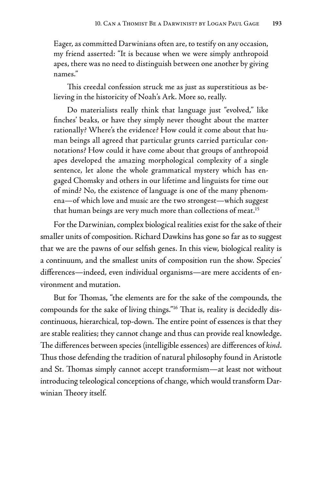Eager, as committed Darwinians often are, to testify on any occasion, my friend asserted: "It is because when we were simply anthropoid apes, there was no need to distinguish between one another by giving names."

This creedal confession struck me as just as superstitious as believing in the historicity of Noah's Ark. More so, really.

Do materialists really think that language just "evolved," like finches' beaks, or have they simply never thought about the matter rationally? Where's the evidence? How could it come about that human beings all agreed that particular grunts carried particular connotations? How could it have come about that groups of anthropoid apes developed the amazing morphological complexity of a single sentence, let alone the whole grammatical mystery which has engaged Chomsky and others in our lifetime and linguists for time out of mind? No, the existence of language is one of the many phenomena—of which love and music are the two strongest—which suggest that human beings are very much more than collections of meat.<sup>15</sup>

For the Darwinian, complex biological realities exist for the sake of their smaller units of composition. Richard Dawkins has gone so far as to suggest that we are the pawns of our selfish genes. In this view, biological reality is a continuum, and the smallest units of composition run the show. Species' differences—indeed, even individual organisms—are mere accidents of environment and mutation.

But for Thomas, "the elements are for the sake of the compounds, the compounds for the sake of living things."<sup>16</sup> That is, reality is decidedly discontinuous, hierarchical, top-down. The entire point of essences is that they are stable realities; they cannot change and thus can provide real knowledge. The differences between species (intelligible essences) are differences of kind. Thus those defending the tradition of natural philosophy found in Aristotle and St. Thomas simply cannot accept transformism—at least not without introducing teleological conceptions of change, which would transform Darwinian Theory itself.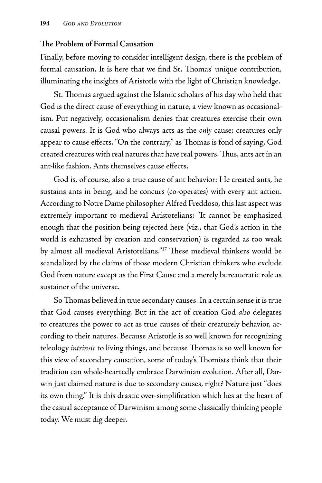#### **The Problem of Formal Causation**

Finally, before moving to consider intelligent design, there is the problem of formal causation. It is here that we find St. Thomas' unique contribution, illuminating the insights of Aristotle with the light of Christian knowledge.

St. Thomas argued against the Islamic scholars of his day who held that God is the direct cause of everything in nature, a view known as occasionalism. Put negatively, occasionalism denies that creatures exercise their own causal powers. It is God who always acts as the only cause; creatures only appear to cause effects. "On the contrary," as Thomas is fond of saying, God created creatures with real natures that have real powers. Thus, ants act in an ant-like fashion. Ants themselves cause effects.

God is, of course, also a true cause of ant behavior: He created ants, he sustains ants in being, and he concurs (co-operates) with every ant action. According to Notre Dame philosopher Alfred Freddoso, this last aspect was extremely important to medieval Aristotelians: "It cannot be emphasized enough that the position being rejected here (viz., that God's action in the world is exhausted by creation and conservation) is regarded as too weak by almost all medieval Aristotelians."<sup>17</sup> These medieval thinkers would be scandalized by the claims of those modern Christian thinkers who exclude God from nature except as the First Cause and a merely bureaucratic role as sustainer of the universe.

So Thomas believed in true secondary causes. In a certain sense it is true that God causes everything. But in the act of creation God also delegates to creatures the power to act as true causes of their creaturely behavior, according to their natures. Because Aristotle is so well known for recognizing teleology intrinsic to living things, and because Thomas is so well known for this view of secondary causation, some of today's Thomists think that their tradition can whole-heartedly embrace Darwinian evolution. After all, Darwin just claimed nature is due to secondary causes, right? Nature just "does its own thing." It is this drastic over-simplification which lies at the heart of the casual acceptance of Darwinism among some classically thinking people today. We must dig deeper.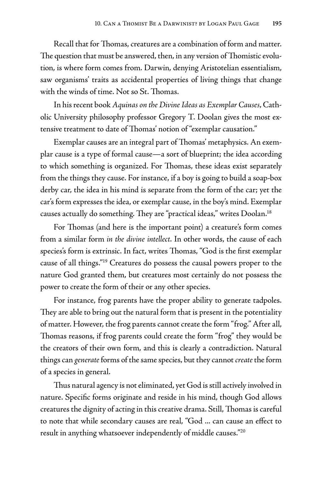Recall that for Thomas, creatures are a combination of form and matter. The question that must be answered, then, in any version of Thomistic evolution, is where form comes from. Darwin, denying Aristotelian essentialism, saw organisms' traits as accidental properties of living things that change with the winds of time. Not so St. Thomas.

In his recent book Aquinas on the Divine Ideas as Exemplar Causes, Catholic University philosophy professor Gregory T. Doolan gives the most extensive treatment to date of Thomas' notion of "exemplar causation."

Exemplar causes are an integral part of Thomas' metaphysics. An exemplar cause is a type of formal cause—a sort of blueprint; the idea according to which something is organized. For Thomas, these ideas exist separately from the things they cause. For instance, if a boy is going to build a soap-box derby car, the idea in his mind is separate from the form of the car; yet the car's form expresses the idea, or exemplar cause, in the boy's mind. Exemplar causes actually do something. They are "practical ideas," writes Doolan.<sup>18</sup>

For Thomas (and here is the important point) a creature's form comes from a similar form in the divine intellect. In other words, the cause of each species's form is extrinsic. In fact, writes Thomas, "God is the first exemplar cause of all things."19 Creatures do possess the causal powers proper to the nature God granted them, but creatures most certainly do not possess the power to create the form of their or any other species.

For instance, frog parents have the proper ability to generate tadpoles. They are able to bring out the natural form that is present in the potentiality of matter. However, the frog parents cannot create the form "frog." After all, Thomas reasons, if frog parents could create the form "frog" they would be the creators of their own form, and this is clearly a contradiction. Natural things can generate forms of the same species, but they cannot create the form of a species in general.

Thus natural agency is not eliminated, yet God is still actively involved in nature. Specific forms originate and reside in his mind, though God allows creatures the dignity of acting in this creative drama. Still, Thomas is careful to note that while secondary causes are real, "God ... can cause an effect to result in anything whatsoever independently of middle causes."20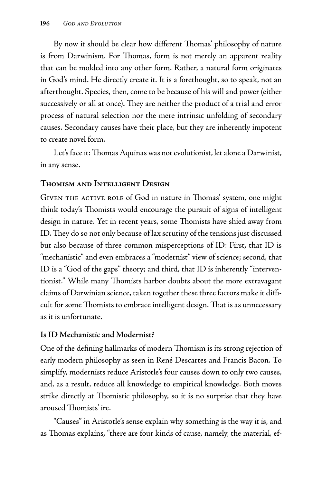By now it should be clear how different Thomas' philosophy of nature is from Darwinism. For Thomas, form is not merely an apparent reality that can be molded into any other form. Rather, a natural form originates in God's mind. He directly create it. It is a forethought, so to speak, not an afterthought. Species, then, come to be because of his will and power (either successively or all at once). They are neither the product of a trial and error process of natural selection nor the mere intrinsic unfolding of secondary causes. Secondary causes have their place, but they are inherently impotent to create novel form.

Let's face it: Thomas Aquinas was not evolutionist, let alone a Darwinist, in any sense.

# **THOMISM AND INTELLIGENT DESIGN**

GIVEN THE ACTIVE ROLE of God in nature in Thomas' system, one might think today's Thomists would encourage the pursuit of signs of intelligent design in nature. Yet in recent years, some Thomists have shied away from ID. They do so not only because of lax scrutiny of the tensions just discussed but also because of three common misperceptions of ID: First, that ID is "mechanistic" and even embraces a "modernist" view of science; second, that ID is a "God of the gaps" theory; and third, that ID is inherently "interventionist." While many Thomists harbor doubts about the more extravagant claims of Darwinian science, taken together these three factors make it difficult for some Thomists to embrace intelligent design. That is as unnecessary as it is unfortunate.

# **Is ID Mechanistic and Modernist?**

One of the defining hallmarks of modern Thomism is its strong rejection of early modern philosophy as seen in René Descartes and Francis Bacon. To simplify, modernists reduce Aristotle's four causes down to only two causes, and, as a result, reduce all knowledge to empirical knowledge. Both moves strike directly at Thomistic philosophy, so it is no surprise that they have aroused Thomists' ire.

"Causes" in Aristotle's sense explain why something is the way it is, and as Thomas explains, "there are four kinds of cause, namely, the material, ef-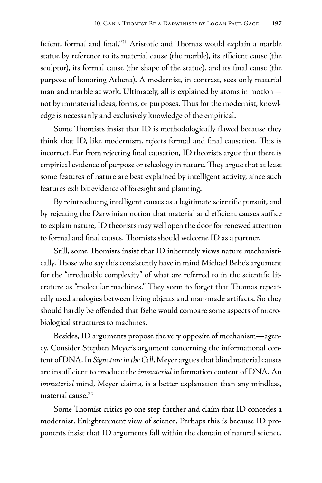ficient, formal and final."<sup>21</sup> Aristotle and Thomas would explain a marble statue by reference to its material cause (the marble), its efficient cause (the sculptor), its formal cause (the shape of the statue), and its final cause (the purpose of honoring Athena). A modernist, in contrast, sees only material man and marble at work. Ultimately, all is explained by atoms in motion not by immaterial ideas, forms, or purposes. Thus for the modernist, knowledge is necessarily and exclusively knowledge of the empirical.

Some Thomists insist that ID is methodologically flawed because they think that ID, like modernism, rejects formal and final causation. This is incorrect. Far from rejecting final causation, ID theorists argue that there is empirical evidence of purpose or teleology in nature. They argue that at least some features of nature are best explained by intelligent activity, since such features exhibit evidence of foresight and planning.

By reintroducing intelligent causes as a legitimate scientific pursuit, and by rejecting the Darwinian notion that material and efficient causes suffice to explain nature, ID theorists may well open the door for renewed attention to formal and final causes. Thomists should welcome ID as a partner.

Still, some Thomists insist that ID inherently views nature mechanistically. Those who say this consistently have in mind Michael Behe's argument for the "irreducible complexity" of what are referred to in the scientific literature as "molecular machines." They seem to forget that Thomas repeatedly used analogies between living objects and man-made artifacts. So they should hardly be offended that Behe would compare some aspects of microbiological structures to machines.

Besides, ID arguments propose the very opposite of mechanism—agency. Consider Stephen Meyer's argument concerning the informational content of DNA. In Signature in the Cell, Meyer argues that blind material causes are insufficient to produce the *immaterial* information content of DNA. An immaterial mind, Meyer claims, is a better explanation than any mindless, material cause.22

Some Thomist critics go one step further and claim that ID concedes a modernist, Enlightenment view of science. Perhaps this is because ID proponents insist that ID arguments fall within the domain of natural science.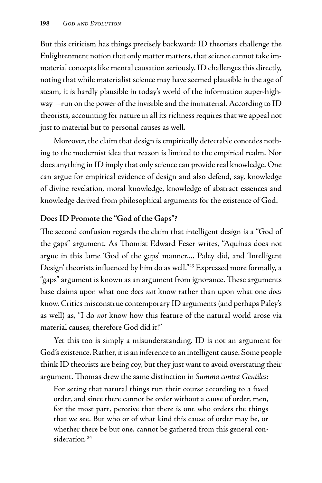But this criticism has things precisely backward: ID theorists challenge the Enlightenment notion that only matter matters, that science cannot take immaterial concepts like mental causation seriously. ID challenges this directly, noting that while materialist science may have seemed plausible in the age of steam, it is hardly plausible in today's world of the information super-highway—run on the power of the invisible and the immaterial. According to ID theorists, accounting for nature in all its richness requires that we appeal not just to material but to personal causes as well.

Moreover, the claim that design is empirically detectable concedes nothing to the modernist idea that reason is limited to the empirical realm. Nor does anything in ID imply that only science can provide real knowledge. One can argue for empirical evidence of design and also defend, say, knowledge of divine revelation, moral knowledge, knowledge of abstract essences and knowledge derived from philosophical arguments for the existence of God.

### **Does ID Promote the "God of the Gaps"?**

The second confusion regards the claim that intelligent design is a "God of the gaps" argument. As Thomist Edward Feser writes, "Aquinas does not argue in this lame 'God of the gaps' manner.... Paley did, and 'Intelligent Design' theorists influenced by him do as well."<sup>23</sup> Expressed more formally, a "gaps" argument is known as an argument from ignorance. These arguments base claims upon what one does not know rather than upon what one does know. Critics misconstrue contemporary ID arguments (and perhaps Paley's as well) as, "I do not know how this feature of the natural world arose via material causes; therefore God did it!"

Yet this too is simply a misunderstanding. ID is not an argument for God's existence. Rather, it is an inference to an intelligent cause. Some people think ID theorists are being coy, but they just want to avoid overstating their argument. Thomas drew the same distinction in Summa contra Gentiles:

For seeing that natural things run their course according to a fixed order, and since there cannot be order without a cause of order, men, for the most part, perceive that there is one who orders the things that we see. But who or of what kind this cause of order may be, or whether there be but one, cannot be gathered from this general consideration.<sup>24</sup>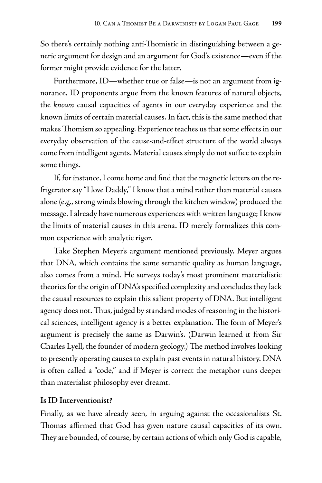So there's certainly nothing anti-Thomistic in distinguishing between a generic argument for design and an argument for God's existence—even if the former might provide evidence for the latter.

Furthermore, ID—whether true or false—is not an argument from ignorance. ID proponents argue from the known features of natural objects, the known causal capacities of agents in our everyday experience and the known limits of certain material causes. In fact, this is the same method that makes Thomism so appealing. Experience teaches us that some effects in our everyday observation of the cause-and-effect structure of the world always come from intelligent agents. Material causes simply do not suffice to explain some things.

If, for instance, I come home and find that the magnetic letters on the refrigerator say "I love Daddy," I know that a mind rather than material causes alone (e.g., strong winds blowing through the kitchen window) produced the message. I already have numerous experiences with written language; I know the limits of material causes in this arena. ID merely formalizes this common experience with analytic rigor.

Take Stephen Meyer's argument mentioned previously. Meyer argues that DNA, which contains the same semantic quality as human language, also comes from a mind. He surveys today's most prominent materialistic theories for the origin of DNA's specified complexity and concludes they lack the causal resources to explain this salient property of DNA. But intelligent agency does not. Thus, judged by standard modes of reasoning in the historical sciences, intelligent agency is a better explanation. The form of Meyer's argument is precisely the same as Darwin's. (Darwin learned it from Sir Charles Lyell, the founder of modern geology.) The method involves looking to presently operating causes to explain past events in natural history. DNA is often called a "code," and if Meyer is correct the metaphor runs deeper than materialist philosophy ever dreamt.

#### **Is ID Interventionist?**

Finally, as we have already seen, in arguing against the occasionalists St. Thomas affirmed that God has given nature causal capacities of its own. They are bounded, of course, by certain actions of which only God is capable,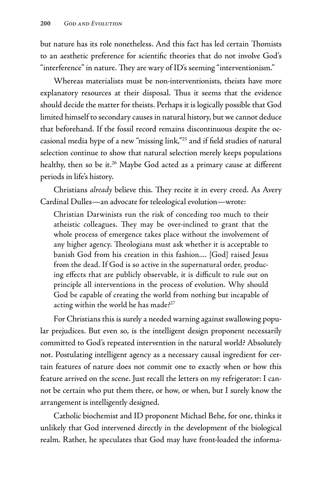but nature has its role nonetheless. And this fact has led certain Thomists to an aesthetic preference for scientific theories that do not involve God's "interference" in nature. They are wary of ID's seeming "interventionism."

Whereas materialists must be non-interventionists, theists have more explanatory resources at their disposal. Thus it seems that the evidence should decide the matter for theists. Perhaps it is logically possible that God limited himself to secondary causes in natural history, but we cannot deduce that beforehand. If the fossil record remains discontinuous despite the occasional media hype of a new "missing link,"25 and if field studies of natural selection continue to show that natural selection merely keeps populations healthy, then so be it.<sup>26</sup> Maybe God acted as a primary cause at different periods in life's history.

Christians already believe this. They recite it in every creed. As Avery Cardinal Dulles—an advocate for teleological evolution—wrote:

Christian Darwinists run the risk of conceding too much to their atheistic colleagues. They may be over-inclined to grant that the whole process of emergence takes place without the involvement of any higher agency. Theologians must ask whether it is acceptable to banish God from his creation in this fashion.... [God] raised Jesus from the dead. If God is so active in the supernatural order, producing effects that are publicly observable, it is difficult to rule out on principle all interventions in the process of evolution. Why should God be capable of creating the world from nothing but incapable of acting within the world he has made?27

For Christians this is surely a needed warning against swallowing popular prejudices. But even so, is the intelligent design proponent necessarily committed to God's repeated intervention in the natural world? Absolutely not. Postulating intelligent agency as a necessary causal ingredient for certain features of nature does not commit one to exactly when or how this feature arrived on the scene. Just recall the letters on my refrigerator: I cannot be certain who put them there, or how, or when, but I surely know the arrangement is intelligently designed.

Catholic biochemist and ID proponent Michael Behe, for one, thinks it unlikely that God intervened directly in the development of the biological realm. Rather, he speculates that God may have front-loaded the informa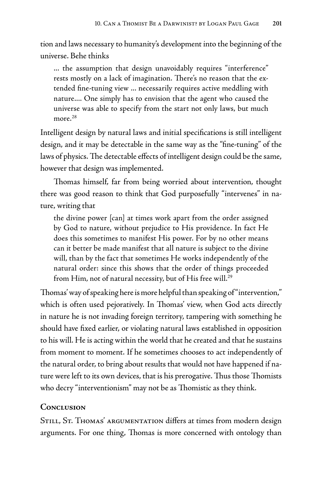tion and laws necessary to humanity's development into the beginning of the universe. Behe thinks

... the assumption that design unavoidably requires "interference" rests mostly on a lack of imagination. There's no reason that the extended fine-tuning view ... necessarily requires active meddling with nature.... One simply has to envision that the agent who caused the universe was able to specify from the start not only laws, but much more.<sup>28</sup>

Intelligent design by natural laws and initial specifications is still intelligent design, and it may be detectable in the same way as the "fine-tuning" of the laws of physics. The detectable effects of intelligent design could be the same, however that design was implemented.

Thomas himself, far from being worried about intervention, thought there was good reason to think that God purposefully "intervenes" in nature, writing that

the divine power [can] at times work apart from the order assigned by God to nature, without prejudice to His providence. In fact He does this sometimes to manifest His power. For by no other means can it better be made manifest that all nature is subject to the divine will, than by the fact that sometimes He works independently of the natural order: since this shows that the order of things proceeded from Him, not of natural necessity, but of His free will.<sup>29</sup>

Thomas' way of speaking here is more helpful than speaking of "intervention," which is often used pejoratively. In Thomas' view, when God acts directly in nature he is not invading foreign territory, tampering with something he should have fixed earlier, or violating natural laws established in opposition to his will. He is acting within the world that he created and that he sustains from moment to moment. If he sometimes chooses to act independently of the natural order, to bring about results that would not have happened if nature were left to its own devices, that is his prerogative. Thus those Thomists who decry "interventionism" may not be as Thomistic as they think.

# **CONCLUSION**

STILL, ST. THOMAS' ARGUMENTATION differs at times from modern design arguments. For one thing, Thomas is more concerned with ontology than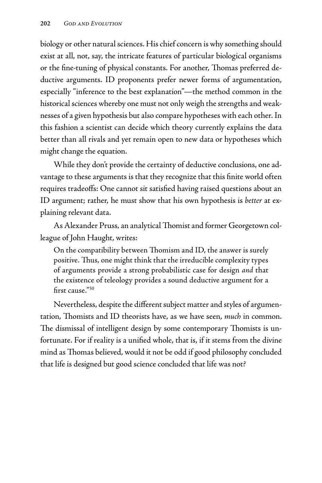biology or other natural sciences. His chief concern is why something should exist at all, not, say, the intricate features of particular biological organisms or the fine-tuning of physical constants. For another, Thomas preferred deductive arguments. ID proponents prefer newer forms of argumentation, especially "inference to the best explanation"—the method common in the historical sciences whereby one must not only weigh the strengths and weaknesses of a given hypothesis but also compare hypotheses with each other. In this fashion a scientist can decide which theory currently explains the data better than all rivals and yet remain open to new data or hypotheses which might change the equation.

While they don't provide the certainty of deductive conclusions, one advantage to these arguments is that they recognize that this finite world often requires tradeoffs: One cannot sit satisfied having raised questions about an ID argument; rather, he must show that his own hypothesis is better at explaining relevant data.

As Alexander Pruss, an analytical Thomist and former Georgetown colleague of John Haught, writes:

On the compatibility between Thomism and ID, the answer is surely positive. Thus, one might think that the irreducible complexity types of arguments provide a strong probabilistic case for design and that the existence of teleology provides a sound deductive argument for a first cause."30

Nevertheless, despite the different subject matter and styles of argumentation, Thomists and ID theorists have, as we have seen, *much* in common. The dismissal of intelligent design by some contemporary Thomists is unfortunate. For if reality is a unified whole, that is, if it stems from the divine mind as Thomas believed, would it not be odd if good philosophy concluded that life is designed but good science concluded that life was not?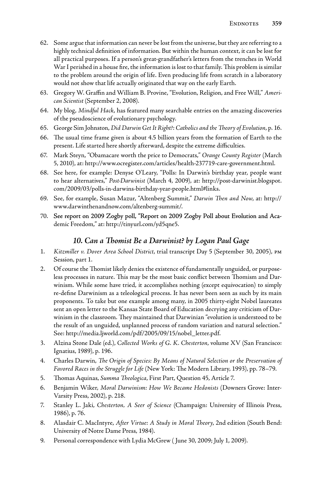- 62. Some argue that information can never be lost from the universe, but they are referring to a highly technical definition of information. But within the human context, it can be lost for all practical purposes. If a person's great-grandfather's letters from the trenches in World War I perished in a house fire, the information is lost to that family. This problem is similar to the problem around the origin of life. Even producing life from scratch in a laboratory would not show that life actually originated that way on the early Earth.
- 63. Gregory W. Graffin and William B. Provine, "Evolution, Religion, and Free Will," American Scientist (September 2, 2008).
- 64. My blog, Mindful Hack, has featured many searchable entries on the amazing discoveries of the pseudoscience of evolutionary psychology.
- 65. George Sim Johnston, Did Darwin Get It Right?: Catholics and the Theory of Evolution, p. 16.
- 66. The usual time frame given is about 4.5 billion years from the formation of Earth to the present. Life started here shortly afterward, despite the extreme difficulties.
- 67. Mark Steyn, "Obamacare worth the price to Democrats," Orange County Register (March 5, 2010), at: http://www.ocregister.com/articles/health-237719-care-government.html.
- 68. See here, for example: Denyse O'Leary, "Polls: In Darwin's birthday year, people want to hear alternatives," Post-Darwinist (March 4, 2009), at: http://post-darwinist.blogspot. com/2009/03/polls-in-darwins-birthday-year-people.html#links.
- 69. See, for example, Susan Mazur, "Altenberg Summit," Darwin Then and Now, at: http:// www.darwinthenandnow.com/altenberg-summit/.
- 70. See report on 2009 Zogby poll, "Report on 2009 Zogby Poll about Evolution and Academic Freedom," at: http://tinyurl.com/yd5qne5.

#### 10. Can a Thomist Be a Darwinist? by Logan Paul Gage

- 1. Kitzmiller v. Dover Area School District, trial transcript Day 5 (September 30, 2005), PM Session, part 1.
- 2. Of course the Thomist likely denies the existence of fundamentally unguided, or purposeless processes in nature. This may be the most basic conflict between Thomism and Darwinism. While some have tried, it accomplishes nothing (except equivocation) to simply re-define Darwinism as a teleological process. It has never been seen as such by its main proponents. To take but one example among many, in 2005 thirty-eight Nobel laureates sent an open letter to the Kansas State Board of Education decrying any criticism of Darwinism in the classroom. They maintained that Darwinian "evolution is understood to be the result of an unguided, unplanned process of random variation and natural selection." See: http://media.ljworld.com/pdf/2005/09/15/nobel\_letter.pdf.
- 3. Alzina Stone Dale (ed.), Collected Works of G. K. Chesterton, volume XV (San Francisco: Ignatius, 1989), p. 196.
- 4. Charles Darwin, The Origin of Species: By Means of Natural Selection or the Preservation of Favored Races in the Struggle for Life (New York: The Modern Library, 1993), pp. 78–79.
- 5. Thomas Aquinas, Summa Theologica, First Part, Question 45, Article 7.
- 6. Benjamin Wiker, Moral Darwinism: How We Became Hedonists (Downers Grove: Inter-Varsity Press, 2002), p. 218.
- 7. Stanley L. Jaki, Chesterton, A Seer of Science (Champaign: University of Illinois Press, 1986), p. 76.
- 8. Alasdair C. MacIntyre, After Virtue: A Study in Moral Theory, 2nd edition (South Bend: University of Notre Dame Press, 1984).
- 9. Personal correspondence with Lydia McGrew ( June 30, 2009; July 1, 2009).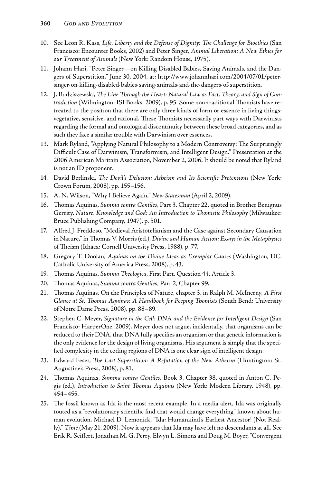- 10. See Leon R. Kass, Life, Liberty and the Defense of Dignity: The Challenge for Bioethics (San Francisco: Encounter Books, 2002) and Peter Singer, Animal Liberation: A New Ethics for our Treatment of Animals (New York: Random House, 1975).
- 11. Johann Hari, "Peter Singer—on Killing Disabled Babies, Saving Animals, and the Dangers of Superstition," June 30, 2004, at: http://www.johannhari.com/2004/07/01/petersinger-on-killing-disabled-babies-saving-animals-and-the-dangers-of-superstition.
- 12. J. Budziszewski, The Line Through the Heart: Natural Law as Fact, Theory, and Sign of Contradiction (Wilmington: ISI Books, 2009), p. 95. Some non-traditional Thomists have retreated to the position that there are only three kinds of form or essence in living things: vegetative, sensitive, and rational. These Thomists necessarily part ways with Darwinists regarding the formal and ontological discontinuity between these broad categories, and as such they face a similar trouble with Darwinism over essences.
- 13. Mark Ryland, "Applying Natural Philosophy to a Modern Controversy: The Surprisingly Difficult Case of Darwinism, Transformism, and Intelligent Design." Presentation at the 2006 American Maritain Association, November 2, 2006. It should be noted that Ryland is not an ID proponent.
- 14. David Berlinski, The Devil's Delusion: Atheism and Its Scientific Pretensions (New York: Crown Forum, 2008), pp. 155–156.
- 15. A. N. Wilson, "Why I Believe Again," New Statesman (April 2, 2009).
- 16. Thomas Aquinas, Summa contra Gentiles, Part 3, Chapter 22, quoted in Brother Benignus Gerrity, Nature, Knowledge and God: An Introduction to Thomistic Philosophy (Milwaukee: Bruce Publishing Company, 1947), p. 501.
- 17. Alfred J. Freddoso, "Medieval Aristotelianism and the Case against Secondary Causation in Nature," in Thomas V. Morris (ed.), Divine and Human Action: Essays in the Metaphysics of Theism (Ithaca: Cornell University Press, 1988), p. 77.
- 18. Gregory T. Doolan, Aquinas on the Divine Ideas as Exemplar Causes (Washington, DC: Catholic University of America Press, 2008), p. 43.
- 19. Thomas Aquinas, Summa Theologica, First Part, Question 44, Article 3.
- 20. Thomas Aquinas, Summa contra Gentiles, Part 2, Chapter 99.
- 21. Thomas Aquinas, On the Principles of Nature, chapter 3, in Ralph M. McInerny, A First Glance at St. Thomas Aquinas: A Handbook for Peeping Thomists (South Bend: University of Notre Dame Press, 2008), pp. 88–89.
- 22. Stephen C. Meyer, Signature in the Cell: DNA and the Evidence for Intelligent Design (San Francisco: HarperOne, 2009). Meyer does not argue, incidentally, that organisms can be reduced to their DNA, that DNA fully specifies an organism or that genetic information is the only evidence for the design of living organisms. His argument is simply that the specified complexity in the coding regions of DNA is one clear sign of intelligent design.
- 23. Edward Feser, The Last Superstition: A Refutation of the New Atheism (Huntington: St. Augustine's Press, 2008), p. 81.
- 24. Thomas Aquinas, Summa contra Gentiles, Book 3, Chapter 38, quoted in Anton C. Pegis (ed.), Introduction to Saint Thomas Aquinas (New York: Modern Library, 1948), pp. 454–455.
- 25. The fossil known as Ida is the most recent example. In a media alert, Ida was originally touted as a "revolutionary scientific find that would change everything" known about human evolution. Michael D. Lemonick, "Ida: Humankind's Earliest Ancestor! (Not Really)," Time (May 21, 2009). Now it appears that Ida may have left no descendants at all. See Erik R. Seiffert, Jonathan M. G. Perry, Elwyn L. Simons and Doug M. Boyer, "Convergent